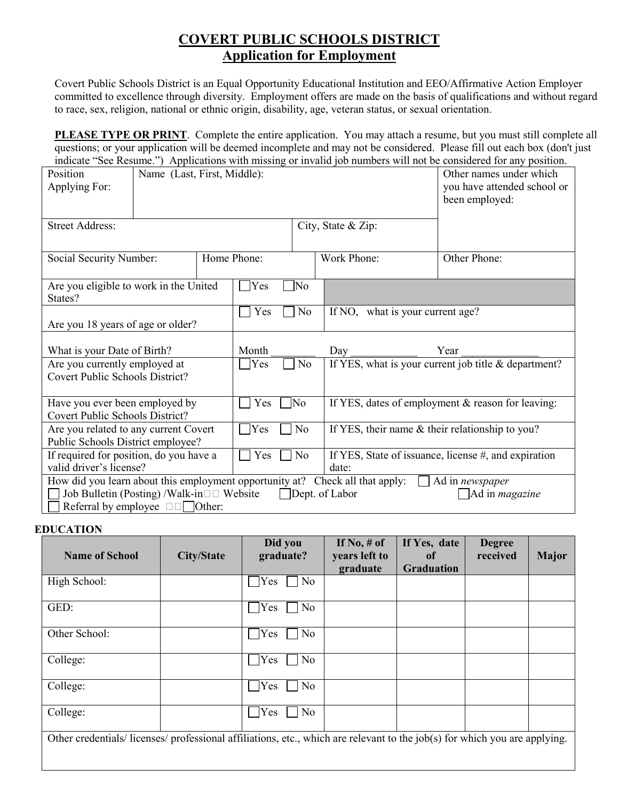## **COVERT PUBLIC SCHOOLS DISTRICT Application for Employment**

Covert Public Schools District is an Equal Opportunity Educational Institution and EEO/Affirmative Action Employer committed to excellence through diversity. Employment offers are made on the basis of qualifications and without regard to race, sex, religion, national or ethnic origin, disability, age, veteran status, or sexual orientation.

**PLEASE TYPE OR PRINT**. Complete the entire application. You may attach a resume, but you must still complete all questions; or your application will be deemed incomplete and may not be considered. Please fill out each box (don't just indicate "See Resume.") Applications with missing or invalid job numbers will not be considered for any position.

| Position<br>Applying For:                                                                                                                                                                                                                                                               | Name (Last, First, Middle):            |  |                    |                |                                                      | areave been recently propries with this day of moderate you handers will not be considered for any position.<br>Other names under which<br>you have attended school or<br>been employed: |  |  |
|-----------------------------------------------------------------------------------------------------------------------------------------------------------------------------------------------------------------------------------------------------------------------------------------|----------------------------------------|--|--------------------|----------------|------------------------------------------------------|------------------------------------------------------------------------------------------------------------------------------------------------------------------------------------------|--|--|
| <b>Street Address:</b>                                                                                                                                                                                                                                                                  |                                        |  | City, State & Zip: |                |                                                      |                                                                                                                                                                                          |  |  |
|                                                                                                                                                                                                                                                                                         | Home Phone:<br>Social Security Number: |  |                    |                | Work Phone:                                          | Other Phone:                                                                                                                                                                             |  |  |
| Are you eligible to work in the United<br>States?                                                                                                                                                                                                                                       |                                        |  | Yes                | ]No            |                                                      |                                                                                                                                                                                          |  |  |
| Are you 18 years of age or older?                                                                                                                                                                                                                                                       |                                        |  | Yes                | No             | If NO, what is your current age?                     |                                                                                                                                                                                          |  |  |
| What is your Date of Birth?                                                                                                                                                                                                                                                             |                                        |  | Month              |                | Day                                                  | Year                                                                                                                                                                                     |  |  |
| Are you currently employed at<br>Covert Public Schools District?                                                                                                                                                                                                                        |                                        |  | Yes                | No             |                                                      | If YES, what is your current job title & department?                                                                                                                                     |  |  |
| Have you ever been employed by<br>Covert Public Schools District?                                                                                                                                                                                                                       |                                        |  | Yes                | ]No            |                                                      | If YES, dates of employment & reason for leaving:                                                                                                                                        |  |  |
| Are you related to any current Covert<br>Public Schools District employee?                                                                                                                                                                                                              |                                        |  | Yes                | N <sub>o</sub> |                                                      | If YES, their name & their relationship to you?                                                                                                                                          |  |  |
| If required for position, do you have a<br>Yes<br>valid driver's license?                                                                                                                                                                                                               |                                        |  | No                 | date:          | If YES, State of issuance, license #, and expiration |                                                                                                                                                                                          |  |  |
| How did you learn about this employment opportunity at? Check all that apply:<br>Ad in <i>newspaper</i><br>$\mathbf{L}$<br>Job Bulletin (Posting) /Walk-in $\square \square$ Website<br>Dept. of Labor<br>$\Box$ Ad in <i>magazine</i><br>Referral by employee $\square \square$ Other: |                                        |  |                    |                |                                                      |                                                                                                                                                                                          |  |  |

## **EDUCATION**

| <b>Name of School</b>                                                                                                    | <b>City/State</b> | Did you<br>graduate? | If $No, \# of$<br>years left to<br>graduate | If Yes, date<br>of<br><b>Graduation</b> | <b>Degree</b><br>received | <b>Major</b> |
|--------------------------------------------------------------------------------------------------------------------------|-------------------|----------------------|---------------------------------------------|-----------------------------------------|---------------------------|--------------|
| High School:                                                                                                             |                   | No<br>Yes            |                                             |                                         |                           |              |
| GED:                                                                                                                     |                   | No<br>Yes            |                                             |                                         |                           |              |
| Other School:                                                                                                            |                   | No<br>Yes            |                                             |                                         |                           |              |
| College:                                                                                                                 |                   | No<br>$\gamma$ Yes   |                                             |                                         |                           |              |
| College:                                                                                                                 |                   | $\gamma$ Yes<br>No   |                                             |                                         |                           |              |
| College:                                                                                                                 |                   | No<br>Yes            |                                             |                                         |                           |              |
| Other credentials/licenses/professional affiliations, etc., which are relevant to the job(s) for which you are applying. |                   |                      |                                             |                                         |                           |              |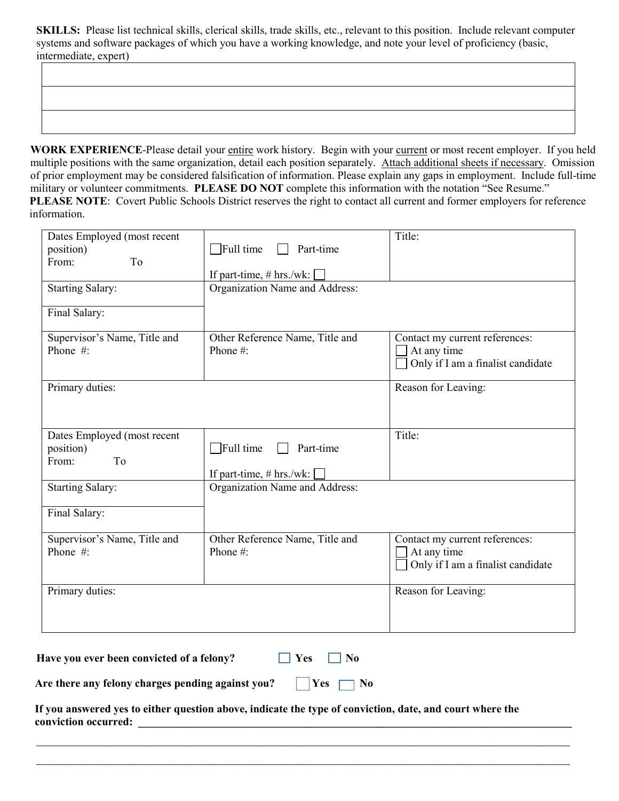**SKILLS:** Please list technical skills, clerical skills, trade skills, etc., relevant to this position. Include relevant computer systems and software packages of which you have a working knowledge, and note your level of proficiency (basic, intermediate, expert)

WORK EXPERIENCE-Please detail your entire work history. Begin with your current or most recent employer. If you held multiple positions with the same organization, detail each position separately. Attach additional sheets if necessary. Omission of prior employment may be considered falsification of information. Please explain any gaps in employment. Include full-time military or volunteer commitments. **PLEASE DO NOT** complete this information with the notation "See Resume." **PLEASE NOTE**: Covert Public Schools District reserves the right to contact all current and former employers for reference information.

| From:<br>To<br>If part-time, # hrs./wk:<br>Organization Name and Address:<br><b>Starting Salary:</b><br>Final Salary:<br>Supervisor's Name, Title and<br>Other Reference Name, Title and<br>Contact my current references:<br>Phone #:<br>At any time<br>Phone #:<br>Only if I am a finalist candidate<br>Primary duties:<br>Reason for Leaving:<br>Title:<br>Dates Employed (most recent<br>$\sqrt{\frac{1}{1}}$ Full time<br>position)<br>Part-time<br>From:<br>To<br>If part-time, # hrs./wk:<br><b>Starting Salary:</b><br>Organization Name and Address:<br>Final Salary:<br>Supervisor's Name, Title and<br>Other Reference Name, Title and<br>Contact my current references:<br>Phone $#$ :<br>Phone#:<br>At any time<br>Only if I am a finalist candidate<br>Primary duties:<br>Reason for Leaving: | Dates Employed (most recent |                               | Title: |
|-------------------------------------------------------------------------------------------------------------------------------------------------------------------------------------------------------------------------------------------------------------------------------------------------------------------------------------------------------------------------------------------------------------------------------------------------------------------------------------------------------------------------------------------------------------------------------------------------------------------------------------------------------------------------------------------------------------------------------------------------------------------------------------------------------------|-----------------------------|-------------------------------|--------|
|                                                                                                                                                                                                                                                                                                                                                                                                                                                                                                                                                                                                                                                                                                                                                                                                             | position)                   | $\Box$ Full time<br>Part-time |        |
|                                                                                                                                                                                                                                                                                                                                                                                                                                                                                                                                                                                                                                                                                                                                                                                                             |                             |                               |        |
|                                                                                                                                                                                                                                                                                                                                                                                                                                                                                                                                                                                                                                                                                                                                                                                                             |                             |                               |        |
|                                                                                                                                                                                                                                                                                                                                                                                                                                                                                                                                                                                                                                                                                                                                                                                                             |                             |                               |        |
|                                                                                                                                                                                                                                                                                                                                                                                                                                                                                                                                                                                                                                                                                                                                                                                                             |                             |                               |        |
|                                                                                                                                                                                                                                                                                                                                                                                                                                                                                                                                                                                                                                                                                                                                                                                                             |                             |                               |        |
|                                                                                                                                                                                                                                                                                                                                                                                                                                                                                                                                                                                                                                                                                                                                                                                                             |                             |                               |        |
|                                                                                                                                                                                                                                                                                                                                                                                                                                                                                                                                                                                                                                                                                                                                                                                                             |                             |                               |        |
|                                                                                                                                                                                                                                                                                                                                                                                                                                                                                                                                                                                                                                                                                                                                                                                                             |                             |                               |        |
|                                                                                                                                                                                                                                                                                                                                                                                                                                                                                                                                                                                                                                                                                                                                                                                                             |                             |                               |        |
|                                                                                                                                                                                                                                                                                                                                                                                                                                                                                                                                                                                                                                                                                                                                                                                                             |                             |                               |        |
|                                                                                                                                                                                                                                                                                                                                                                                                                                                                                                                                                                                                                                                                                                                                                                                                             |                             |                               |        |
|                                                                                                                                                                                                                                                                                                                                                                                                                                                                                                                                                                                                                                                                                                                                                                                                             |                             |                               |        |
|                                                                                                                                                                                                                                                                                                                                                                                                                                                                                                                                                                                                                                                                                                                                                                                                             |                             |                               |        |
|                                                                                                                                                                                                                                                                                                                                                                                                                                                                                                                                                                                                                                                                                                                                                                                                             |                             |                               |        |
|                                                                                                                                                                                                                                                                                                                                                                                                                                                                                                                                                                                                                                                                                                                                                                                                             |                             |                               |        |
|                                                                                                                                                                                                                                                                                                                                                                                                                                                                                                                                                                                                                                                                                                                                                                                                             |                             |                               |        |
|                                                                                                                                                                                                                                                                                                                                                                                                                                                                                                                                                                                                                                                                                                                                                                                                             |                             |                               |        |
|                                                                                                                                                                                                                                                                                                                                                                                                                                                                                                                                                                                                                                                                                                                                                                                                             |                             |                               |        |
|                                                                                                                                                                                                                                                                                                                                                                                                                                                                                                                                                                                                                                                                                                                                                                                                             |                             |                               |        |
|                                                                                                                                                                                                                                                                                                                                                                                                                                                                                                                                                                                                                                                                                                                                                                                                             |                             |                               |        |
|                                                                                                                                                                                                                                                                                                                                                                                                                                                                                                                                                                                                                                                                                                                                                                                                             |                             |                               |        |
|                                                                                                                                                                                                                                                                                                                                                                                                                                                                                                                                                                                                                                                                                                                                                                                                             |                             |                               |        |
|                                                                                                                                                                                                                                                                                                                                                                                                                                                                                                                                                                                                                                                                                                                                                                                                             |                             |                               |        |
|                                                                                                                                                                                                                                                                                                                                                                                                                                                                                                                                                                                                                                                                                                                                                                                                             |                             |                               |        |

**Have you ever been convicted of a felony?**  $\Box$  Yes  $\Box$  No

| Are there any felony charges pending against you? |  | $\vert$ Yes $\vert$ No |  |  |
|---------------------------------------------------|--|------------------------|--|--|
|---------------------------------------------------|--|------------------------|--|--|

 **If you answered yes to either question above, indicate the type of conviction, date, and court where the conviction occurred: \_\_\_\_\_\_\_\_\_\_\_\_\_\_\_\_\_\_\_\_\_\_\_\_\_\_\_\_\_\_\_\_\_\_\_\_\_\_\_\_\_\_\_\_\_\_\_\_\_\_\_\_\_\_\_\_\_\_\_\_\_\_\_\_\_\_\_\_\_\_\_\_\_\_\_\_\_\_**

 $\mathcal{L} = \{ \mathcal{L} = \{ \mathcal{L} = \{ \mathcal{L} = \{ \mathcal{L} = \{ \mathcal{L} = \{ \mathcal{L} = \{ \mathcal{L} = \{ \mathcal{L} = \{ \mathcal{L} = \{ \mathcal{L} = \{ \mathcal{L} = \{ \mathcal{L} = \{ \mathcal{L} = \{ \mathcal{L} = \{ \mathcal{L} = \{ \mathcal{L} = \{ \mathcal{L} = \{ \mathcal{L} = \{ \mathcal{L} = \{ \mathcal{L} = \{ \mathcal{L} = \{ \mathcal{L} = \{ \mathcal{L} = \{ \mathcal{$  $\mathcal{L} = \{ \mathcal{L} = \{ \mathcal{L} = \{ \mathcal{L} = \{ \mathcal{L} = \{ \mathcal{L} = \{ \mathcal{L} = \{ \mathcal{L} = \{ \mathcal{L} = \{ \mathcal{L} = \{ \mathcal{L} = \{ \mathcal{L} = \{ \mathcal{L} = \{ \mathcal{L} = \{ \mathcal{L} = \{ \mathcal{L} = \{ \mathcal{L} = \{ \mathcal{L} = \{ \mathcal{L} = \{ \mathcal{L} = \{ \mathcal{L} = \{ \mathcal{L} = \{ \mathcal{L} = \{ \mathcal{L} = \{ \mathcal{$